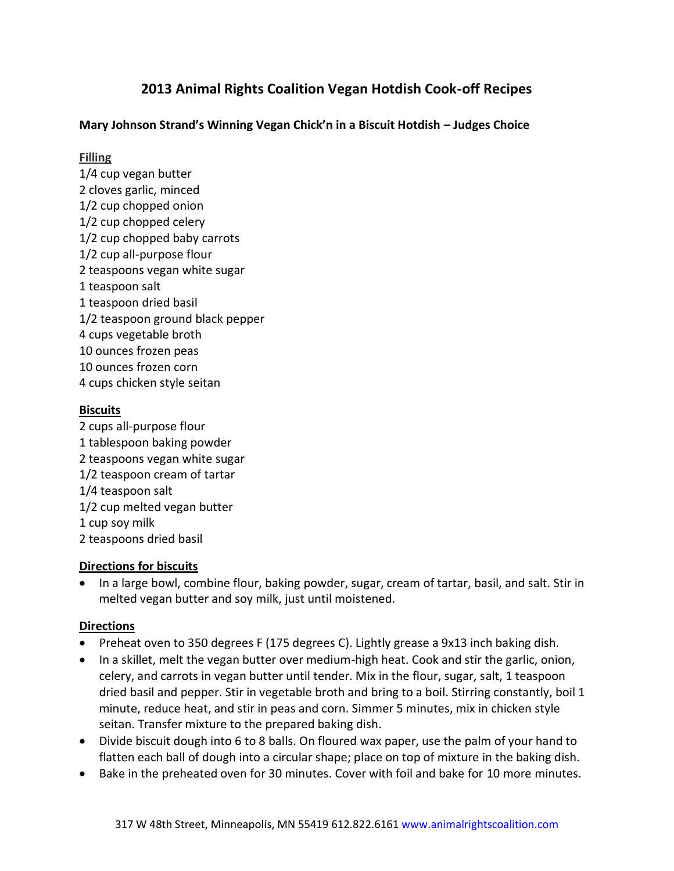# **2013 Animal Rights Coalition Vegan Hotdish Cook-off Recipes**

# **Mary Johnson Strand's Winning Vegan Chick'n in a Biscuit Hotdish – Judges Choice**

## **Filling**

1/4 cup vegan butter 2 cloves garlic, minced 1/2 cup chopped onion 1/2 cup chopped celery 1/2 cup chopped baby carrots 1/2 cup all-purpose flour 2 teaspoons vegan white sugar 1 teaspoon salt 1 teaspoon dried basil 1/2 teaspoon ground black pepper 4 cups vegetable broth 10 ounces frozen peas 10 ounces frozen corn 4 cups chicken style seitan

# **Biscuits**

2 cups all-purpose flour 1 tablespoon baking powder 2 teaspoons vegan white sugar 1/2 teaspoon cream of tartar 1/4 teaspoon salt 1/2 cup melted vegan butter 1 cup soy milk 2 teaspoons dried basil

## **Directions for biscuits**

• In a large bowl, combine flour, baking powder, sugar, cream of tartar, basil, and salt. Stir in melted vegan butter and soy milk, just until moistened.

- Preheat oven to 350 degrees F (175 degrees C). Lightly grease a 9x13 inch baking dish.
- In a skillet, melt the vegan butter over medium-high heat. Cook and stir the garlic, onion, celery, and carrots in vegan butter until tender. Mix in the flour, sugar, salt, 1 teaspoon dried basil and pepper. Stir in vegetable broth and bring to a boil. Stirring constantly, boil 1 minute, reduce heat, and stir in peas and corn. Simmer 5 minutes, mix in chicken style seitan. Transfer mixture to the prepared baking dish.
- Divide biscuit dough into 6 to 8 balls. On floured wax paper, use the palm of your hand to flatten each ball of dough into a circular shape; place on top of mixture in the baking dish.
- Bake in the preheated oven for 30 minutes. Cover with foil and bake for 10 more minutes.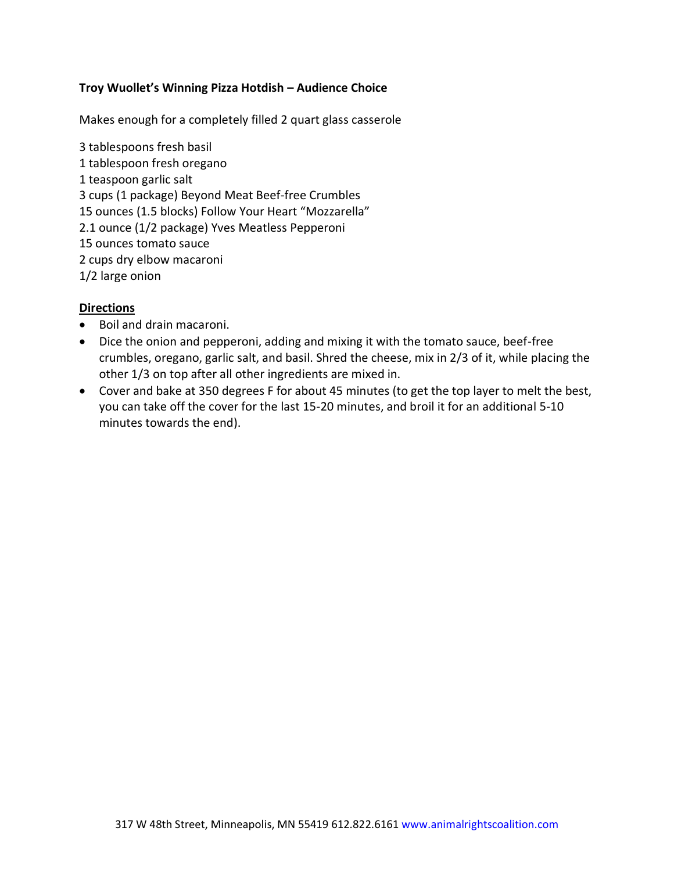# **Troy Wuollet's Winning Pizza Hotdish – Audience Choice**

Makes enough for a completely filled 2 quart glass casserole

3 tablespoons fresh basil 1 tablespoon fresh oregano 1 teaspoon garlic salt 3 cups (1 package) Beyond Meat Beef-free Crumbles 15 ounces (1.5 blocks) Follow Your Heart "Mozzarella" 2.1 ounce (1/2 package) Yves Meatless Pepperoni 15 ounces tomato sauce 2 cups dry elbow macaroni 1/2 large onion

- Boil and drain macaroni.
- Dice the onion and pepperoni, adding and mixing it with the tomato sauce, beef-free crumbles, oregano, garlic salt, and basil. Shred the cheese, mix in 2/3 of it, while placing the other 1/3 on top after all other ingredients are mixed in.
- Cover and bake at 350 degrees F for about 45 minutes (to get the top layer to melt the best, you can take off the cover for the last 15-20 minutes, and broil it for an additional 5-10 minutes towards the end).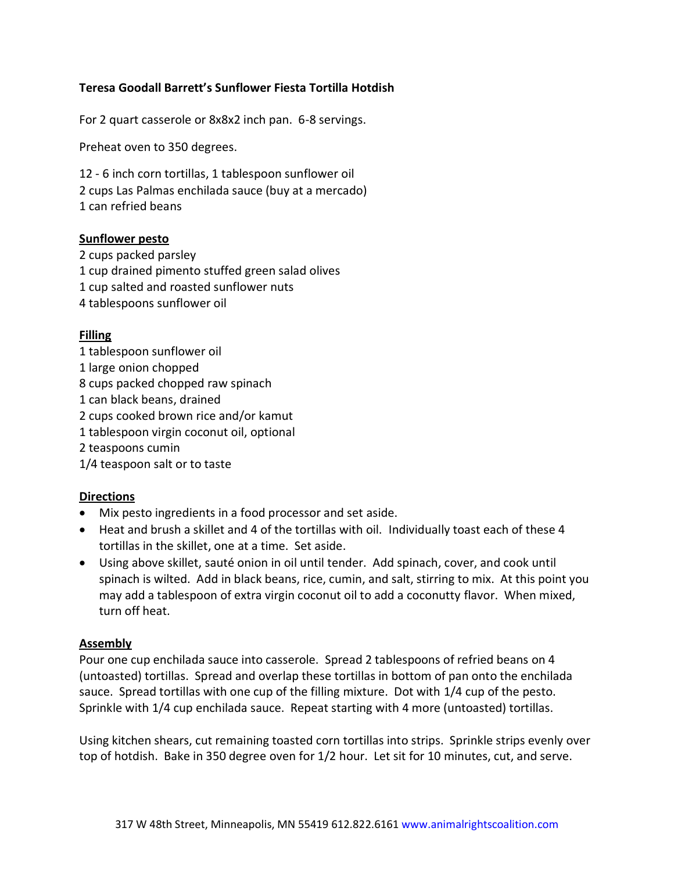# **Teresa Goodall Barrett's Sunflower Fiesta Tortilla Hotdish**

For 2 quart casserole or 8x8x2 inch pan. 6-8 servings.

Preheat oven to 350 degrees.

12 - 6 inch corn tortillas, 1 tablespoon sunflower oil 2 cups Las Palmas enchilada sauce (buy at a mercado) 1 can refried beans

#### **Sunflower pesto**

2 cups packed parsley 1 cup drained pimento stuffed green salad olives 1 cup salted and roasted sunflower nuts 4 tablespoons sunflower oil

#### **Filling**

- 1 tablespoon sunflower oil
- 1 large onion chopped
- 8 cups packed chopped raw spinach
- 1 can black beans, drained
- 2 cups cooked brown rice and/or kamut
- 1 tablespoon virgin coconut oil, optional
- 2 teaspoons cumin
- 1/4 teaspoon salt or to taste

## **Directions**

- Mix pesto ingredients in a food processor and set aside.
- Heat and brush a skillet and 4 of the tortillas with oil. Individually toast each of these 4 tortillas in the skillet, one at a time. Set aside.
- Using above skillet, sauté onion in oil until tender. Add spinach, cover, and cook until spinach is wilted. Add in black beans, rice, cumin, and salt, stirring to mix. At this point you may add a tablespoon of extra virgin coconut oil to add a coconutty flavor. When mixed, turn off heat.

#### **Assembly**

Pour one cup enchilada sauce into casserole. Spread 2 tablespoons of refried beans on 4 (untoasted) tortillas. Spread and overlap these tortillas in bottom of pan onto the enchilada sauce. Spread tortillas with one cup of the filling mixture. Dot with 1/4 cup of the pesto. Sprinkle with 1/4 cup enchilada sauce. Repeat starting with 4 more (untoasted) tortillas.

Using kitchen shears, cut remaining toasted corn tortillas into strips. Sprinkle strips evenly over top of hotdish. Bake in 350 degree oven for 1/2 hour. Let sit for 10 minutes, cut, and serve.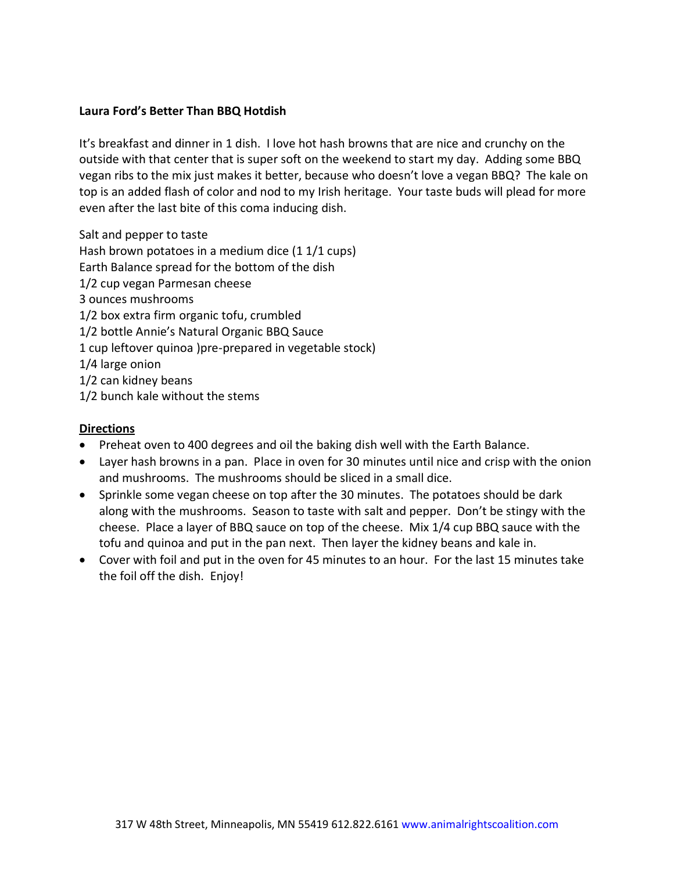# **Laura Ford's Better Than BBQ Hotdish**

It's breakfast and dinner in 1 dish. I love hot hash browns that are nice and crunchy on the outside with that center that is super soft on the weekend to start my day. Adding some BBQ vegan ribs to the mix just makes it better, because who doesn't love a vegan BBQ? The kale on top is an added flash of color and nod to my Irish heritage. Your taste buds will plead for more even after the last bite of this coma inducing dish.

Salt and pepper to taste

Hash brown potatoes in a medium dice (1 1/1 cups) Earth Balance spread for the bottom of the dish 1/2 cup vegan Parmesan cheese 3 ounces mushrooms 1/2 box extra firm organic tofu, crumbled 1/2 bottle Annie's Natural Organic BBQ Sauce 1 cup leftover quinoa )pre-prepared in vegetable stock) 1/4 large onion 1/2 can kidney beans 1/2 bunch kale without the stems

- Preheat oven to 400 degrees and oil the baking dish well with the Earth Balance.
- Layer hash browns in a pan. Place in oven for 30 minutes until nice and crisp with the onion and mushrooms. The mushrooms should be sliced in a small dice.
- Sprinkle some vegan cheese on top after the 30 minutes. The potatoes should be dark along with the mushrooms. Season to taste with salt and pepper. Don't be stingy with the cheese. Place a layer of BBQ sauce on top of the cheese. Mix 1/4 cup BBQ sauce with the tofu and quinoa and put in the pan next. Then layer the kidney beans and kale in.
- Cover with foil and put in the oven for 45 minutes to an hour. For the last 15 minutes take the foil off the dish. Enjoy!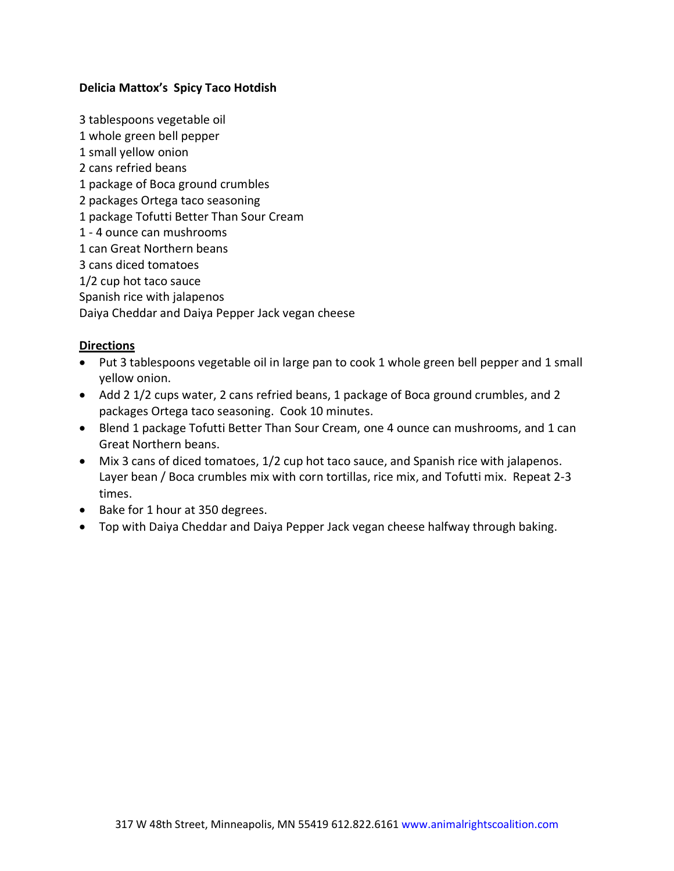## **Delicia Mattox's Spicy Taco Hotdish**

3 tablespoons vegetable oil 1 whole green bell pepper 1 small yellow onion 2 cans refried beans 1 package of Boca ground crumbles 2 packages Ortega taco seasoning 1 package Tofutti Better Than Sour Cream 1 - 4 ounce can mushrooms 1 can Great Northern beans 3 cans diced tomatoes 1/2 cup hot taco sauce Spanish rice with jalapenos Daiya Cheddar and Daiya Pepper Jack vegan cheese

- Put 3 tablespoons vegetable oil in large pan to cook 1 whole green bell pepper and 1 small yellow onion.
- Add 2 1/2 cups water, 2 cans refried beans, 1 package of Boca ground crumbles, and 2 packages Ortega taco seasoning. Cook 10 minutes.
- Blend 1 package Tofutti Better Than Sour Cream, one 4 ounce can mushrooms, and 1 can Great Northern beans.
- Mix 3 cans of diced tomatoes, 1/2 cup hot taco sauce, and Spanish rice with jalapenos. Layer bean / Boca crumbles mix with corn tortillas, rice mix, and Tofutti mix. Repeat 2-3 times.
- Bake for 1 hour at 350 degrees.
- Top with Daiya Cheddar and Daiya Pepper Jack vegan cheese halfway through baking.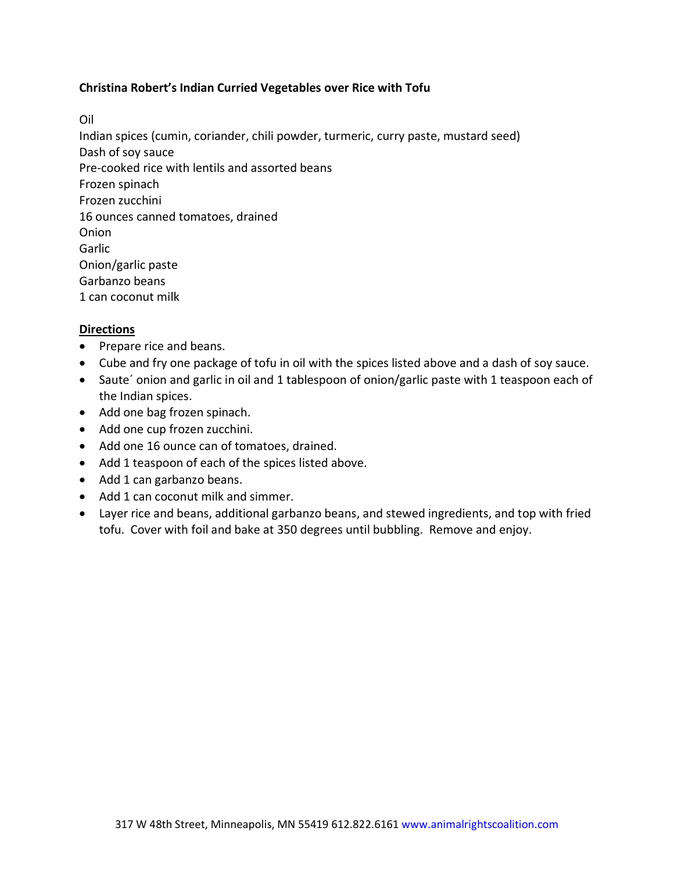## **Christina Robert's Indian Curried Vegetables over Rice with Tofu**

Oil

Indian spices (cumin, coriander, chili powder, turmeric, curry paste, mustard seed) Dash of soy sauce Pre-cooked rice with lentils and assorted beans Frozen spinach Frozen zucchini 16 ounces canned tomatoes, drained Onion Garlic Onion/garlic paste Garbanzo beans 1 can coconut milk

- Prepare rice and beans.
- Cube and fry one package of tofu in oil with the spices listed above and a dash of soy sauce.
- Saute' onion and garlic in oil and 1 tablespoon of onion/garlic paste with 1 teaspoon each of the Indian spices.
- Add one bag frozen spinach.
- Add one cup frozen zucchini.
- Add one 16 ounce can of tomatoes, drained.
- Add 1 teaspoon of each of the spices listed above.
- Add 1 can garbanzo beans.
- Add 1 can coconut milk and simmer.
- Layer rice and beans, additional garbanzo beans, and stewed ingredients, and top with fried tofu. Cover with foil and bake at 350 degrees until bubbling. Remove and enjoy.